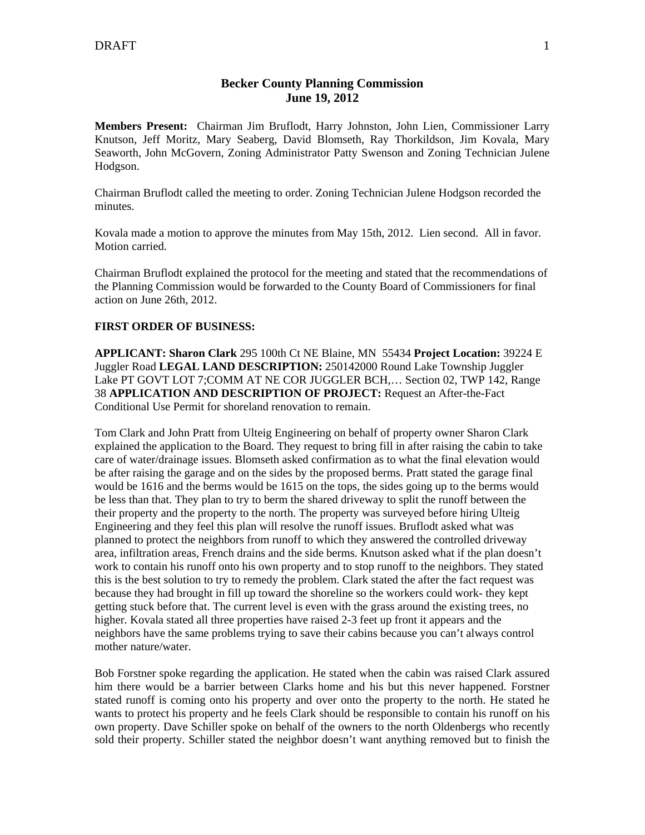## **Becker County Planning Commission June 19, 2012**

**Members Present:** Chairman Jim Bruflodt, Harry Johnston, John Lien, Commissioner Larry Knutson, Jeff Moritz, Mary Seaberg, David Blomseth, Ray Thorkildson, Jim Kovala, Mary Seaworth, John McGovern, Zoning Administrator Patty Swenson and Zoning Technician Julene Hodgson.

Chairman Bruflodt called the meeting to order. Zoning Technician Julene Hodgson recorded the minutes.

Kovala made a motion to approve the minutes from May 15th, 2012. Lien second. All in favor. Motion carried.

Chairman Bruflodt explained the protocol for the meeting and stated that the recommendations of the Planning Commission would be forwarded to the County Board of Commissioners for final action on June 26th, 2012.

## **FIRST ORDER OF BUSINESS:**

**APPLICANT: Sharon Clark** 295 100th Ct NE Blaine, MN 55434 **Project Location:** 39224 E Juggler Road **LEGAL LAND DESCRIPTION:** 250142000 Round Lake Township Juggler Lake PT GOVT LOT 7;COMM AT NE COR JUGGLER BCH,… Section 02, TWP 142, Range 38 **APPLICATION AND DESCRIPTION OF PROJECT:** Request an After-the-Fact Conditional Use Permit for shoreland renovation to remain.

Tom Clark and John Pratt from Ulteig Engineering on behalf of property owner Sharon Clark explained the application to the Board. They request to bring fill in after raising the cabin to take care of water/drainage issues. Blomseth asked confirmation as to what the final elevation would be after raising the garage and on the sides by the proposed berms. Pratt stated the garage final would be 1616 and the berms would be 1615 on the tops, the sides going up to the berms would be less than that. They plan to try to berm the shared driveway to split the runoff between the their property and the property to the north. The property was surveyed before hiring Ulteig Engineering and they feel this plan will resolve the runoff issues. Bruflodt asked what was planned to protect the neighbors from runoff to which they answered the controlled driveway area, infiltration areas, French drains and the side berms. Knutson asked what if the plan doesn't work to contain his runoff onto his own property and to stop runoff to the neighbors. They stated this is the best solution to try to remedy the problem. Clark stated the after the fact request was because they had brought in fill up toward the shoreline so the workers could work- they kept getting stuck before that. The current level is even with the grass around the existing trees, no higher. Kovala stated all three properties have raised 2-3 feet up front it appears and the neighbors have the same problems trying to save their cabins because you can't always control mother nature/water.

Bob Forstner spoke regarding the application. He stated when the cabin was raised Clark assured him there would be a barrier between Clarks home and his but this never happened. Forstner stated runoff is coming onto his property and over onto the property to the north. He stated he wants to protect his property and he feels Clark should be responsible to contain his runoff on his own property. Dave Schiller spoke on behalf of the owners to the north Oldenbergs who recently sold their property. Schiller stated the neighbor doesn't want anything removed but to finish the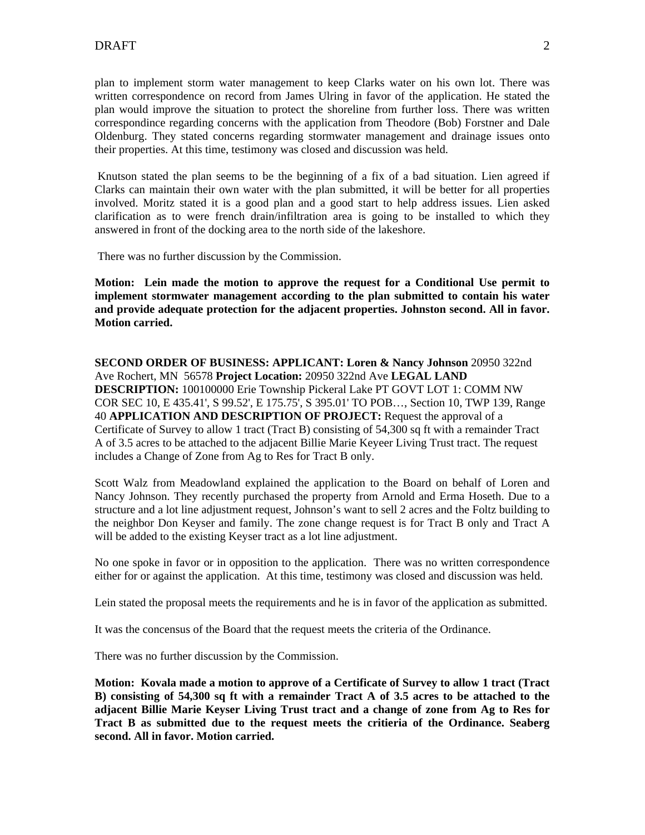plan to implement storm water management to keep Clarks water on his own lot. There was written correspondence on record from James Ulring in favor of the application. He stated the plan would improve the situation to protect the shoreline from further loss. There was written correspondince regarding concerns with the application from Theodore (Bob) Forstner and Dale Oldenburg. They stated concerns regarding stormwater management and drainage issues onto their properties. At this time, testimony was closed and discussion was held.

 Knutson stated the plan seems to be the beginning of a fix of a bad situation. Lien agreed if Clarks can maintain their own water with the plan submitted, it will be better for all properties involved. Moritz stated it is a good plan and a good start to help address issues. Lien asked clarification as to were french drain/infiltration area is going to be installed to which they answered in front of the docking area to the north side of the lakeshore.

There was no further discussion by the Commission.

**Motion: Lein made the motion to approve the request for a Conditional Use permit to implement stormwater management according to the plan submitted to contain his water and provide adequate protection for the adjacent properties. Johnston second. All in favor. Motion carried.** 

**SECOND ORDER OF BUSINESS: APPLICANT: Loren & Nancy Johnson** 20950 322nd Ave Rochert, MN 56578 **Project Location:** 20950 322nd Ave **LEGAL LAND DESCRIPTION:** 100100000 Erie Township Pickeral Lake PT GOVT LOT 1: COMM NW COR SEC 10, E 435.41', S 99.52', E 175.75', S 395.01' TO POB…, Section 10, TWP 139, Range 40 **APPLICATION AND DESCRIPTION OF PROJECT:** Request the approval of a Certificate of Survey to allow 1 tract (Tract B) consisting of 54,300 sq ft with a remainder Tract A of 3.5 acres to be attached to the adjacent Billie Marie Keyeer Living Trust tract. The request includes a Change of Zone from Ag to Res for Tract B only.

Scott Walz from Meadowland explained the application to the Board on behalf of Loren and Nancy Johnson. They recently purchased the property from Arnold and Erma Hoseth. Due to a structure and a lot line adjustment request, Johnson's want to sell 2 acres and the Foltz building to the neighbor Don Keyser and family. The zone change request is for Tract B only and Tract A will be added to the existing Keyser tract as a lot line adjustment.

No one spoke in favor or in opposition to the application. There was no written correspondence either for or against the application. At this time, testimony was closed and discussion was held.

Lein stated the proposal meets the requirements and he is in favor of the application as submitted.

It was the concensus of the Board that the request meets the criteria of the Ordinance.

There was no further discussion by the Commission.

**Motion: Kovala made a motion to approve of a Certificate of Survey to allow 1 tract (Tract B) consisting of 54,300 sq ft with a remainder Tract A of 3.5 acres to be attached to the adjacent Billie Marie Keyser Living Trust tract and a change of zone from Ag to Res for Tract B as submitted due to the request meets the critieria of the Ordinance. Seaberg second. All in favor. Motion carried.**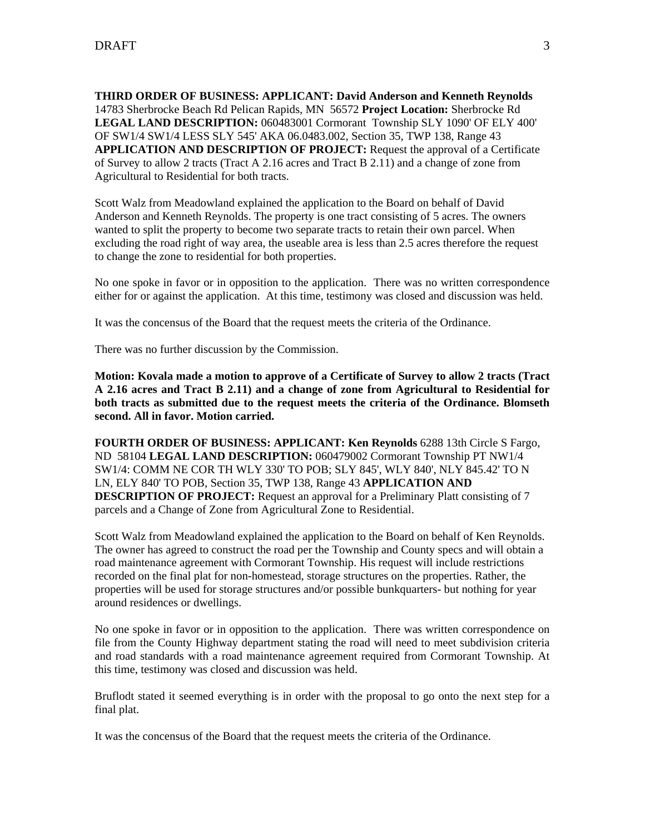**THIRD ORDER OF BUSINESS: APPLICANT: David Anderson and Kenneth Reynolds** 14783 Sherbrocke Beach Rd Pelican Rapids, MN 56572 **Project Location:** Sherbrocke Rd **LEGAL LAND DESCRIPTION:** 060483001 Cormorant Township SLY 1090' OF ELY 400' OF SW1/4 SW1/4 LESS SLY 545' AKA 06.0483.002, Section 35, TWP 138, Range 43 **APPLICATION AND DESCRIPTION OF PROJECT:** Request the approval of a Certificate of Survey to allow 2 tracts (Tract A 2.16 acres and Tract B 2.11) and a change of zone from Agricultural to Residential for both tracts.

Scott Walz from Meadowland explained the application to the Board on behalf of David Anderson and Kenneth Reynolds. The property is one tract consisting of 5 acres. The owners wanted to split the property to become two separate tracts to retain their own parcel. When excluding the road right of way area, the useable area is less than 2.5 acres therefore the request to change the zone to residential for both properties.

No one spoke in favor or in opposition to the application. There was no written correspondence either for or against the application. At this time, testimony was closed and discussion was held.

It was the concensus of the Board that the request meets the criteria of the Ordinance.

There was no further discussion by the Commission.

**Motion: Kovala made a motion to approve of a Certificate of Survey to allow 2 tracts (Tract A 2.16 acres and Tract B 2.11) and a change of zone from Agricultural to Residential for both tracts as submitted due to the request meets the criteria of the Ordinance. Blomseth second. All in favor. Motion carried.** 

**FOURTH ORDER OF BUSINESS: APPLICANT: Ken Reynolds** 6288 13th Circle S Fargo, ND 58104 **LEGAL LAND DESCRIPTION:** 060479002 Cormorant Township PT NW1/4 SW1/4: COMM NE COR TH WLY 330' TO POB; SLY 845', WLY 840', NLY 845.42' TO N LN, ELY 840' TO POB, Section 35, TWP 138, Range 43 **APPLICATION AND DESCRIPTION OF PROJECT:** Request an approval for a Preliminary Platt consisting of 7 parcels and a Change of Zone from Agricultural Zone to Residential.

Scott Walz from Meadowland explained the application to the Board on behalf of Ken Reynolds. The owner has agreed to construct the road per the Township and County specs and will obtain a road maintenance agreement with Cormorant Township. His request will include restrictions recorded on the final plat for non-homestead, storage structures on the properties. Rather, the properties will be used for storage structures and/or possible bunkquarters- but nothing for year around residences or dwellings.

No one spoke in favor or in opposition to the application. There was written correspondence on file from the County Highway department stating the road will need to meet subdivision criteria and road standards with a road maintenance agreement required from Cormorant Township. At this time, testimony was closed and discussion was held.

Bruflodt stated it seemed everything is in order with the proposal to go onto the next step for a final plat.

It was the concensus of the Board that the request meets the criteria of the Ordinance.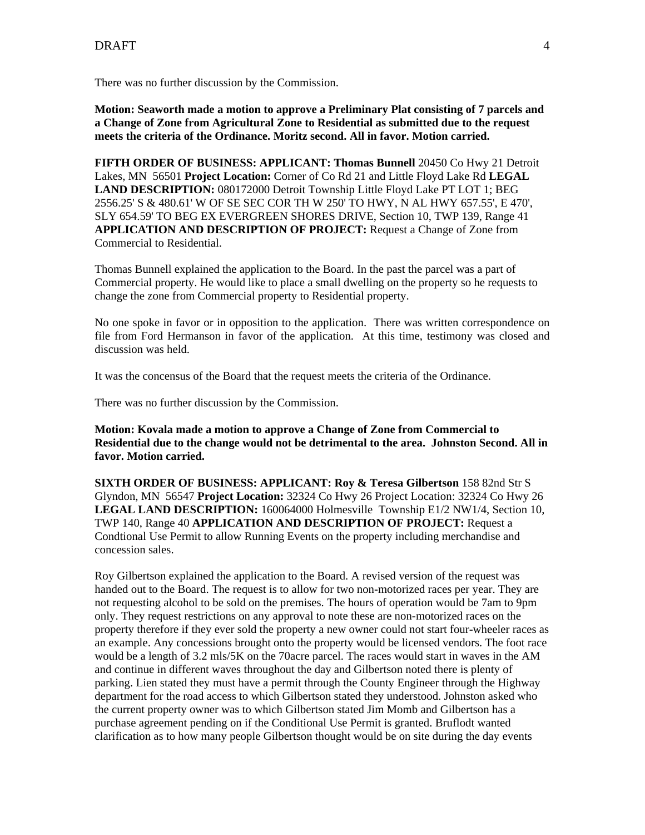There was no further discussion by the Commission.

**Motion: Seaworth made a motion to approve a Preliminary Plat consisting of 7 parcels and a Change of Zone from Agricultural Zone to Residential as submitted due to the request meets the criteria of the Ordinance. Moritz second. All in favor. Motion carried.** 

**FIFTH ORDER OF BUSINESS: APPLICANT: Thomas Bunnell** 20450 Co Hwy 21 Detroit Lakes, MN 56501 **Project Location:** Corner of Co Rd 21 and Little Floyd Lake Rd **LEGAL LAND DESCRIPTION:** 080172000 Detroit Township Little Floyd Lake PT LOT 1; BEG 2556.25' S & 480.61' W OF SE SEC COR TH W 250' TO HWY, N AL HWY 657.55', E 470', SLY 654.59' TO BEG EX EVERGREEN SHORES DRIVE, Section 10, TWP 139, Range 41 **APPLICATION AND DESCRIPTION OF PROJECT:** Request a Change of Zone from Commercial to Residential.

Thomas Bunnell explained the application to the Board. In the past the parcel was a part of Commercial property. He would like to place a small dwelling on the property so he requests to change the zone from Commercial property to Residential property.

No one spoke in favor or in opposition to the application. There was written correspondence on file from Ford Hermanson in favor of the application. At this time, testimony was closed and discussion was held.

It was the concensus of the Board that the request meets the criteria of the Ordinance.

There was no further discussion by the Commission.

**Motion: Kovala made a motion to approve a Change of Zone from Commercial to Residential due to the change would not be detrimental to the area. Johnston Second. All in favor. Motion carried.** 

**SIXTH ORDER OF BUSINESS: APPLICANT: Roy & Teresa Gilbertson** 158 82nd Str S Glyndon, MN 56547 **Project Location:** 32324 Co Hwy 26 Project Location: 32324 Co Hwy 26 **LEGAL LAND DESCRIPTION:** 160064000 Holmesville Township E1/2 NW1/4, Section 10, TWP 140, Range 40 **APPLICATION AND DESCRIPTION OF PROJECT:** Request a Condtional Use Permit to allow Running Events on the property including merchandise and concession sales.

Roy Gilbertson explained the application to the Board. A revised version of the request was handed out to the Board. The request is to allow for two non-motorized races per year. They are not requesting alcohol to be sold on the premises. The hours of operation would be 7am to 9pm only. They request restrictions on any approval to note these are non-motorized races on the property therefore if they ever sold the property a new owner could not start four-wheeler races as an example. Any concessions brought onto the property would be licensed vendors. The foot race would be a length of 3.2 mls/5K on the 70acre parcel. The races would start in waves in the AM and continue in different waves throughout the day and Gilbertson noted there is plenty of parking. Lien stated they must have a permit through the County Engineer through the Highway department for the road access to which Gilbertson stated they understood. Johnston asked who the current property owner was to which Gilbertson stated Jim Momb and Gilbertson has a purchase agreement pending on if the Conditional Use Permit is granted. Bruflodt wanted clarification as to how many people Gilbertson thought would be on site during the day events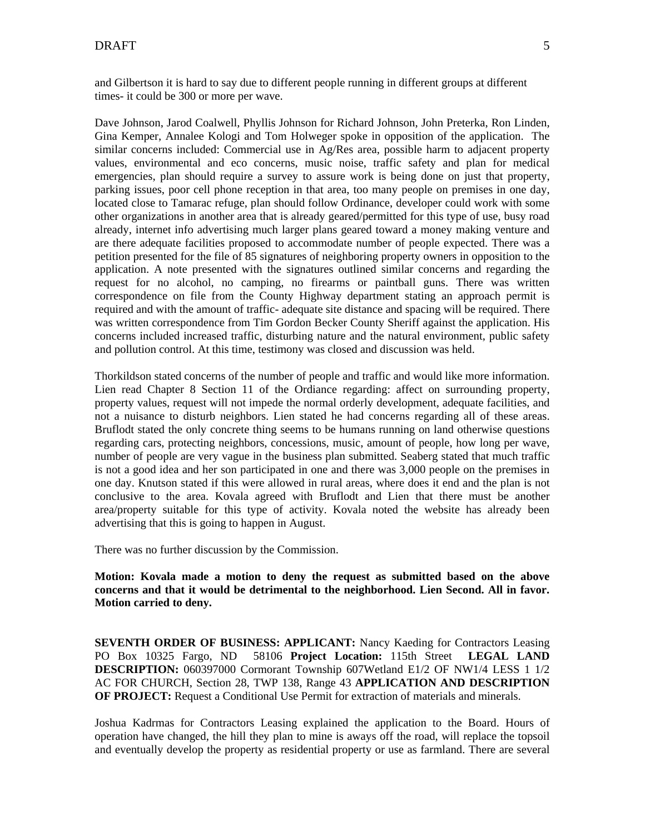and Gilbertson it is hard to say due to different people running in different groups at different times- it could be 300 or more per wave.

Dave Johnson, Jarod Coalwell, Phyllis Johnson for Richard Johnson, John Preterka, Ron Linden, Gina Kemper, Annalee Kologi and Tom Holweger spoke in opposition of the application. The similar concerns included: Commercial use in  $Ag/Res$  area, possible harm to adjacent property values, environmental and eco concerns, music noise, traffic safety and plan for medical emergencies, plan should require a survey to assure work is being done on just that property, parking issues, poor cell phone reception in that area, too many people on premises in one day, located close to Tamarac refuge, plan should follow Ordinance, developer could work with some other organizations in another area that is already geared/permitted for this type of use, busy road already, internet info advertising much larger plans geared toward a money making venture and are there adequate facilities proposed to accommodate number of people expected. There was a petition presented for the file of 85 signatures of neighboring property owners in opposition to the application. A note presented with the signatures outlined similar concerns and regarding the request for no alcohol, no camping, no firearms or paintball guns. There was written correspondence on file from the County Highway department stating an approach permit is required and with the amount of traffic- adequate site distance and spacing will be required. There was written correspondence from Tim Gordon Becker County Sheriff against the application. His concerns included increased traffic, disturbing nature and the natural environment, public safety and pollution control. At this time, testimony was closed and discussion was held.

Thorkildson stated concerns of the number of people and traffic and would like more information. Lien read Chapter 8 Section 11 of the Ordiance regarding: affect on surrounding property, property values, request will not impede the normal orderly development, adequate facilities, and not a nuisance to disturb neighbors. Lien stated he had concerns regarding all of these areas. Bruflodt stated the only concrete thing seems to be humans running on land otherwise questions regarding cars, protecting neighbors, concessions, music, amount of people, how long per wave, number of people are very vague in the business plan submitted. Seaberg stated that much traffic is not a good idea and her son participated in one and there was 3,000 people on the premises in one day. Knutson stated if this were allowed in rural areas, where does it end and the plan is not conclusive to the area. Kovala agreed with Bruflodt and Lien that there must be another area/property suitable for this type of activity. Kovala noted the website has already been advertising that this is going to happen in August.

There was no further discussion by the Commission.

**Motion: Kovala made a motion to deny the request as submitted based on the above concerns and that it would be detrimental to the neighborhood. Lien Second. All in favor. Motion carried to deny.** 

**SEVENTH ORDER OF BUSINESS: APPLICANT:** Nancy Kaeding for Contractors Leasing PO Box 10325 Fargo, ND 58106 **Project Location:** 115th Street **LEGAL LAND DESCRIPTION:** 060397000 Cormorant Township 607Wetland E1/2 OF NW1/4 LESS 1 1/2 AC FOR CHURCH, Section 28, TWP 138, Range 43 **APPLICATION AND DESCRIPTION OF PROJECT:** Request a Conditional Use Permit for extraction of materials and minerals.

Joshua Kadrmas for Contractors Leasing explained the application to the Board. Hours of operation have changed, the hill they plan to mine is aways off the road, will replace the topsoil and eventually develop the property as residential property or use as farmland. There are several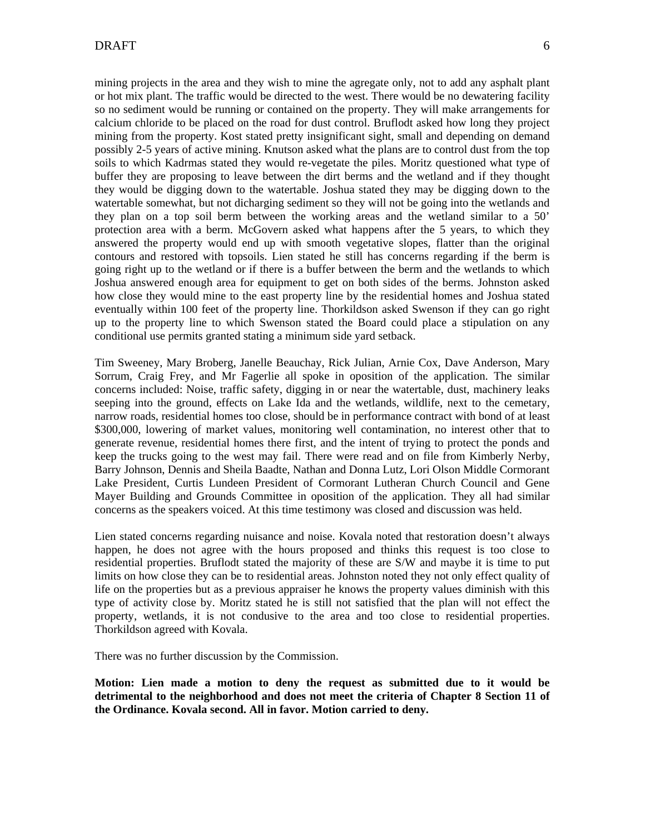mining projects in the area and they wish to mine the agregate only, not to add any asphalt plant or hot mix plant. The traffic would be directed to the west. There would be no dewatering facility so no sediment would be running or contained on the property. They will make arrangements for calcium chloride to be placed on the road for dust control. Bruflodt asked how long they project mining from the property. Kost stated pretty insignificant sight, small and depending on demand possibly 2-5 years of active mining. Knutson asked what the plans are to control dust from the top soils to which Kadrmas stated they would re-vegetate the piles. Moritz questioned what type of buffer they are proposing to leave between the dirt berms and the wetland and if they thought they would be digging down to the watertable. Joshua stated they may be digging down to the watertable somewhat, but not dicharging sediment so they will not be going into the wetlands and they plan on a top soil berm between the working areas and the wetland similar to a 50' protection area with a berm. McGovern asked what happens after the 5 years, to which they answered the property would end up with smooth vegetative slopes, flatter than the original contours and restored with topsoils. Lien stated he still has concerns regarding if the berm is going right up to the wetland or if there is a buffer between the berm and the wetlands to which Joshua answered enough area for equipment to get on both sides of the berms. Johnston asked how close they would mine to the east property line by the residential homes and Joshua stated eventually within 100 feet of the property line. Thorkildson asked Swenson if they can go right up to the property line to which Swenson stated the Board could place a stipulation on any conditional use permits granted stating a minimum side yard setback.

Tim Sweeney, Mary Broberg, Janelle Beauchay, Rick Julian, Arnie Cox, Dave Anderson, Mary Sorrum, Craig Frey, and Mr Fagerlie all spoke in oposition of the application. The similar concerns included: Noise, traffic safety, digging in or near the watertable, dust, machinery leaks seeping into the ground, effects on Lake Ida and the wetlands, wildlife, next to the cemetary, narrow roads, residential homes too close, should be in performance contract with bond of at least \$300,000, lowering of market values, monitoring well contamination, no interest other that to generate revenue, residential homes there first, and the intent of trying to protect the ponds and keep the trucks going to the west may fail. There were read and on file from Kimberly Nerby, Barry Johnson, Dennis and Sheila Baadte, Nathan and Donna Lutz, Lori Olson Middle Cormorant Lake President, Curtis Lundeen President of Cormorant Lutheran Church Council and Gene Mayer Building and Grounds Committee in oposition of the application. They all had similar concerns as the speakers voiced. At this time testimony was closed and discussion was held.

Lien stated concerns regarding nuisance and noise. Kovala noted that restoration doesn't always happen, he does not agree with the hours proposed and thinks this request is too close to residential properties. Bruflodt stated the majority of these are S/W and maybe it is time to put limits on how close they can be to residential areas. Johnston noted they not only effect quality of life on the properties but as a previous appraiser he knows the property values diminish with this type of activity close by. Moritz stated he is still not satisfied that the plan will not effect the property, wetlands, it is not condusive to the area and too close to residential properties. Thorkildson agreed with Kovala.

There was no further discussion by the Commission.

**Motion: Lien made a motion to deny the request as submitted due to it would be detrimental to the neighborhood and does not meet the criteria of Chapter 8 Section 11 of the Ordinance. Kovala second. All in favor. Motion carried to deny.**